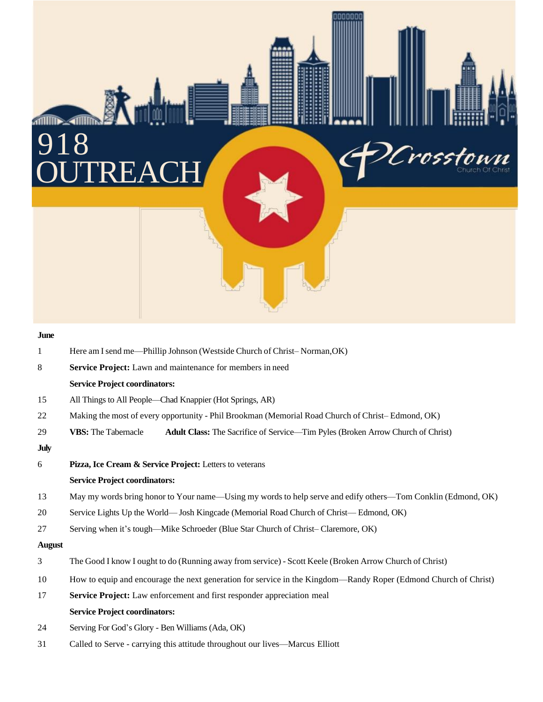# **ATTITUDE ATTITUDE** 918 **OUTREACH**

| June          |                                                                                                                 |
|---------------|-----------------------------------------------------------------------------------------------------------------|
| 1             | Here am I send me-Phillip Johnson (Westside Church of Christ-Norman, OK)                                        |
| 8             | Service Project: Lawn and maintenance for members in need                                                       |
|               | <b>Service Project coordinators:</b>                                                                            |
| 15            | All Things to All People—Chad Knappier (Hot Springs, AR)                                                        |
| 22            | Making the most of every opportunity - Phil Brookman (Memorial Road Church of Christ-Edmond, OK)                |
| 29            | <b>VBS:</b> The Tabernacle<br>Adult Class: The Sacrifice of Service-Tim Pyles (Broken Arrow Church of Christ)   |
| <b>July</b>   |                                                                                                                 |
| 6             | Pizza, Ice Cream & Service Project: Letters to veterans                                                         |
|               | <b>Service Project coordinators:</b>                                                                            |
| 13            | May my words bring honor to Your name—Using my words to help serve and edify others—Tom Conklin (Edmond, OK)    |
| 20            | Service Lights Up the World—Josh Kingcade (Memorial Road Church of Christ—Edmond, OK)                           |
| 27            | Serving when it's tough—Mike Schroeder (Blue Star Church of Christ–Claremore, OK)                               |
| <b>August</b> |                                                                                                                 |
| 3             | The Good I know I ought to do (Running away from service) - Scott Keele (Broken Arrow Church of Christ)         |
| 10            | How to equip and encourage the next generation for service in the Kingdom—Randy Roper (Edmond Church of Christ) |
| 17            | Service Project: Law enforcement and first responder appreciation meal                                          |
|               | <b>Service Project coordinators:</b>                                                                            |
| 24            | Serving For God's Glory - Ben Williams (Ada, OK)                                                                |
|               |                                                                                                                 |

Crosstown

31 Called to Serve - carrying this attitude throughout our lives—Marcus Elliott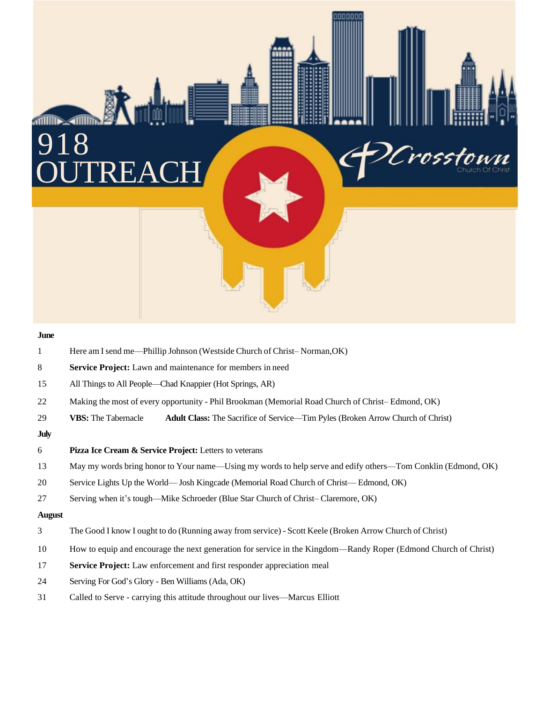## **THE SAFETY OUTREACH**

#### **June**

- 1 Here am I send me—Phillip Johnson (Westside Church of Christ–Norman, OK)
- **Service Project:** Lawn and maintenance for members in need
- All Things to All People—Chad Knappier (Hot Springs, AR)
- 22 Making the most of every opportunity Phil Brookman (Memorial Road Church of Christ– Edmond, OK)
- **VBS:** The Tabernacle **Adult Class:** The Sacrifice of Service—Tim Pyles (Broken Arrow Church of Christ)

### **July**

- **Pizza Ice Cream & Service Project:** Letters to veterans
- May my words bring honor to Your name—Using my words to help serve and edify others—Tom Conklin (Edmond, OK)

Crossi

- Service Lights Up the World— Josh Kingcade (Memorial Road Church of Christ— Edmond, OK)
- Serving when it's tough—Mike Schroeder (Blue Star Church of Christ– Claremore, OK)

## **August**

- The Good I know I ought to do (Running away from service) Scott Keele (Broken Arrow Church of Christ)
- How to equip and encourage the next generation for service in the Kingdom—Randy Roper (Edmond Church of Christ)
- **Service Project:** Law enforcement and first responder appreciation meal
- Serving For God's Glory Ben Williams (Ada, OK)
- Called to Serve carrying this attitude throughout our lives—Marcus Elliott